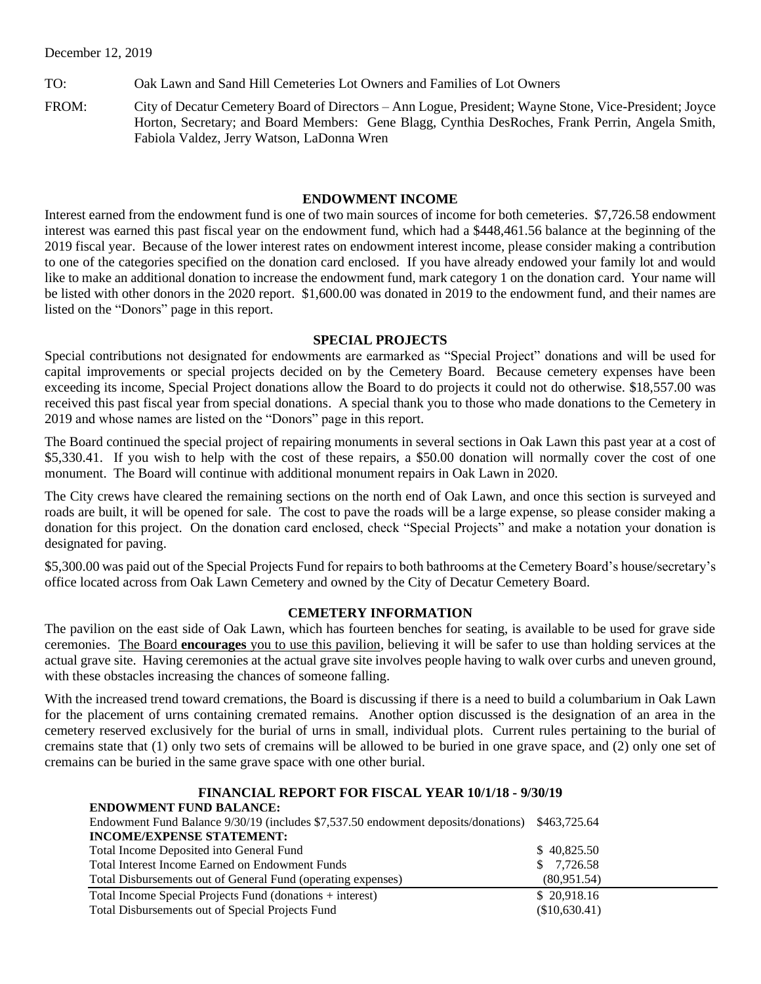TO: Oak Lawn and Sand Hill Cemeteries Lot Owners and Families of Lot Owners

FROM: City of Decatur Cemetery Board of Directors – Ann Logue, President; Wayne Stone, Vice-President; Joyce Horton, Secretary; and Board Members: Gene Blagg, Cynthia DesRoches, Frank Perrin, Angela Smith, Fabiola Valdez, Jerry Watson, LaDonna Wren

## **ENDOWMENT INCOME**

Interest earned from the endowment fund is one of two main sources of income for both cemeteries. \$7,726.58 endowment interest was earned this past fiscal year on the endowment fund, which had a \$448,461.56 balance at the beginning of the 2019 fiscal year. Because of the lower interest rates on endowment interest income, please consider making a contribution to one of the categories specified on the donation card enclosed. If you have already endowed your family lot and would like to make an additional donation to increase the endowment fund, mark category 1 on the donation card. Your name will be listed with other donors in the 2020 report. \$1,600.00 was donated in 2019 to the endowment fund, and their names are listed on the "Donors" page in this report.

## **SPECIAL PROJECTS**

Special contributions not designated for endowments are earmarked as "Special Project" donations and will be used for capital improvements or special projects decided on by the Cemetery Board. Because cemetery expenses have been exceeding its income, Special Project donations allow the Board to do projects it could not do otherwise. \$18,557.00 was received this past fiscal year from special donations. A special thank you to those who made donations to the Cemetery in 2019 and whose names are listed on the "Donors" page in this report.

The Board continued the special project of repairing monuments in several sections in Oak Lawn this past year at a cost of \$5,330.41. If you wish to help with the cost of these repairs, a \$50.00 donation will normally cover the cost of one monument. The Board will continue with additional monument repairs in Oak Lawn in 2020.

The City crews have cleared the remaining sections on the north end of Oak Lawn, and once this section is surveyed and roads are built, it will be opened for sale. The cost to pave the roads will be a large expense, so please consider making a donation for this project. On the donation card enclosed, check "Special Projects" and make a notation your donation is designated for paving.

\$5,300.00 was paid out of the Special Projects Fund for repairs to both bathrooms at the Cemetery Board's house/secretary's office located across from Oak Lawn Cemetery and owned by the City of Decatur Cemetery Board.

## **CEMETERY INFORMATION**

The pavilion on the east side of Oak Lawn, which has fourteen benches for seating, is available to be used for grave side ceremonies. The Board **encourages** you to use this pavilion, believing it will be safer to use than holding services at the actual grave site. Having ceremonies at the actual grave site involves people having to walk over curbs and uneven ground, with these obstacles increasing the chances of someone falling.

With the increased trend toward cremations, the Board is discussing if there is a need to build a columbarium in Oak Lawn for the placement of urns containing cremated remains. Another option discussed is the designation of an area in the cemetery reserved exclusively for the burial of urns in small, individual plots. Current rules pertaining to the burial of cremains state that (1) only two sets of cremains will be allowed to be buried in one grave space, and (2) only one set of cremains can be buried in the same grave space with one other burial.

#### **FINANCIAL REPORT FOR FISCAL YEAR 10/1/18 - 9/30/19 ENDOWMENT FUND BALANCE:**

| ENDOWMENT FUND BALANCE:                                                           |               |
|-----------------------------------------------------------------------------------|---------------|
| Endowment Fund Balance 9/30/19 (includes \$7,537.50 endowment deposits/donations) | \$463,725.64  |
| <b>INCOME/EXPENSE STATEMENT:</b>                                                  |               |
| Total Income Deposited into General Fund                                          | \$40,825.50   |
| Total Interest Income Earned on Endowment Funds                                   | \$7,726.58    |
| Total Disbursements out of General Fund (operating expenses)                      | (80,951.54)   |
| Total Income Special Projects Fund (donations + interest)                         | \$20,918.16   |
| Total Disbursements out of Special Projects Fund                                  | (\$10,630.41) |
|                                                                                   |               |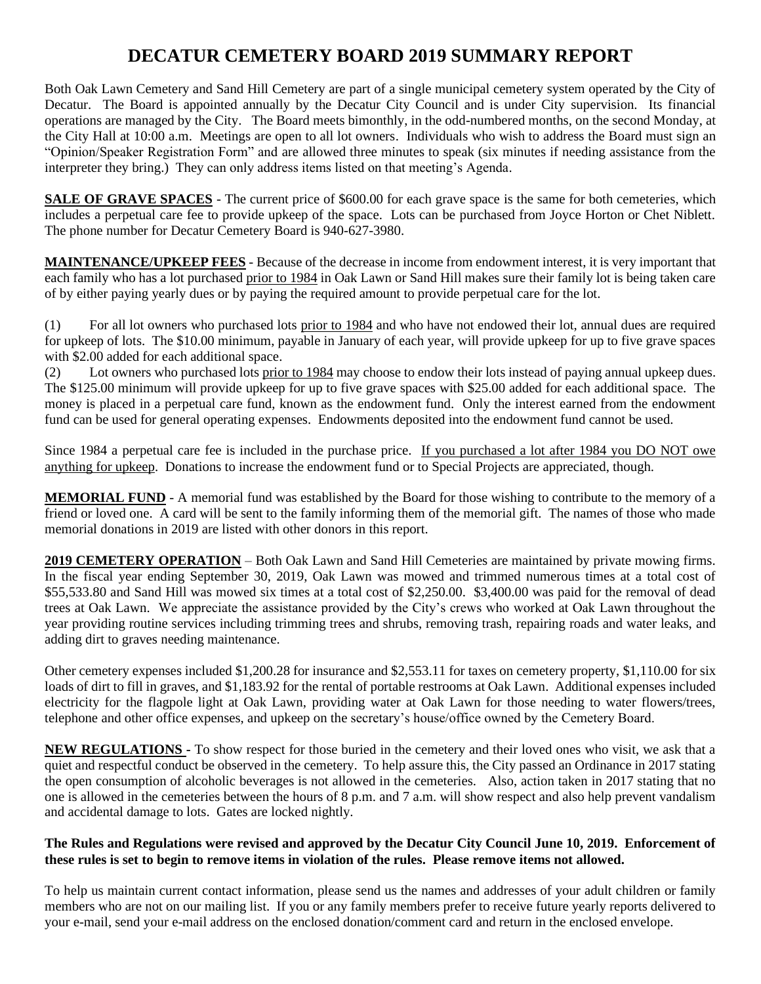# **DECATUR CEMETERY BOARD 2019 SUMMARY REPORT**

Both Oak Lawn Cemetery and Sand Hill Cemetery are part of a single municipal cemetery system operated by the City of Decatur. The Board is appointed annually by the Decatur City Council and is under City supervision. Its financial operations are managed by the City. The Board meets bimonthly, in the odd-numbered months, on the second Monday, at the City Hall at 10:00 a.m. Meetings are open to all lot owners. Individuals who wish to address the Board must sign an "Opinion/Speaker Registration Form" and are allowed three minutes to speak (six minutes if needing assistance from the interpreter they bring.) They can only address items listed on that meeting's Agenda.

**SALE OF GRAVE SPACES** - The current price of \$600.00 for each grave space is the same for both cemeteries, which includes a perpetual care fee to provide upkeep of the space. Lots can be purchased from Joyce Horton or Chet Niblett. The phone number for Decatur Cemetery Board is 940-627-3980.

**MAINTENANCE/UPKEEP FEES** - Because of the decrease in income from endowment interest, it is very important that each family who has a lot purchased prior to 1984 in Oak Lawn or Sand Hill makes sure their family lot is being taken care of by either paying yearly dues or by paying the required amount to provide perpetual care for the lot.

(1) For all lot owners who purchased lots prior to 1984 and who have not endowed their lot, annual dues are required for upkeep of lots. The \$10.00 minimum, payable in January of each year, will provide upkeep for up to five grave spaces with \$2.00 added for each additional space.

(2) Lot owners who purchased lots prior to 1984 may choose to endow their lots instead of paying annual upkeep dues. The \$125.00 minimum will provide upkeep for up to five grave spaces with \$25.00 added for each additional space. The money is placed in a perpetual care fund, known as the endowment fund. Only the interest earned from the endowment fund can be used for general operating expenses. Endowments deposited into the endowment fund cannot be used.

Since 1984 a perpetual care fee is included in the purchase price. If you purchased a lot after 1984 you DO NOT owe anything for upkeep. Donations to increase the endowment fund or to Special Projects are appreciated, though.

**MEMORIAL FUND** - A memorial fund was established by the Board for those wishing to contribute to the memory of a friend or loved one. A card will be sent to the family informing them of the memorial gift. The names of those who made memorial donations in 2019 are listed with other donors in this report.

**2019 CEMETERY OPERATION** – Both Oak Lawn and Sand Hill Cemeteries are maintained by private mowing firms. In the fiscal year ending September 30, 2019, Oak Lawn was mowed and trimmed numerous times at a total cost of \$55,533.80 and Sand Hill was mowed six times at a total cost of \$2,250.00. \$3,400.00 was paid for the removal of dead trees at Oak Lawn. We appreciate the assistance provided by the City's crews who worked at Oak Lawn throughout the year providing routine services including trimming trees and shrubs, removing trash, repairing roads and water leaks, and adding dirt to graves needing maintenance.

Other cemetery expenses included \$1,200.28 for insurance and \$2,553.11 for taxes on cemetery property, \$1,110.00 for six loads of dirt to fill in graves, and \$1,183.92 for the rental of portable restrooms at Oak Lawn. Additional expenses included electricity for the flagpole light at Oak Lawn, providing water at Oak Lawn for those needing to water flowers/trees, telephone and other office expenses, and upkeep on the secretary's house/office owned by the Cemetery Board.

**NEW REGULATIONS -** To show respect for those buried in the cemetery and their loved ones who visit, we ask that a quiet and respectful conduct be observed in the cemetery. To help assure this, the City passed an Ordinance in 2017 stating the open consumption of alcoholic beverages is not allowed in the cemeteries. Also, action taken in 2017 stating that no one is allowed in the cemeteries between the hours of 8 p.m. and 7 a.m. will show respect and also help prevent vandalism and accidental damage to lots. Gates are locked nightly.

## **The Rules and Regulations were revised and approved by the Decatur City Council June 10, 2019. Enforcement of these rules is set to begin to remove items in violation of the rules. Please remove items not allowed.**

To help us maintain current contact information, please send us the names and addresses of your adult children or family members who are not on our mailing list. If you or any family members prefer to receive future yearly reports delivered to your e-mail, send your e-mail address on the enclosed donation/comment card and return in the enclosed envelope.